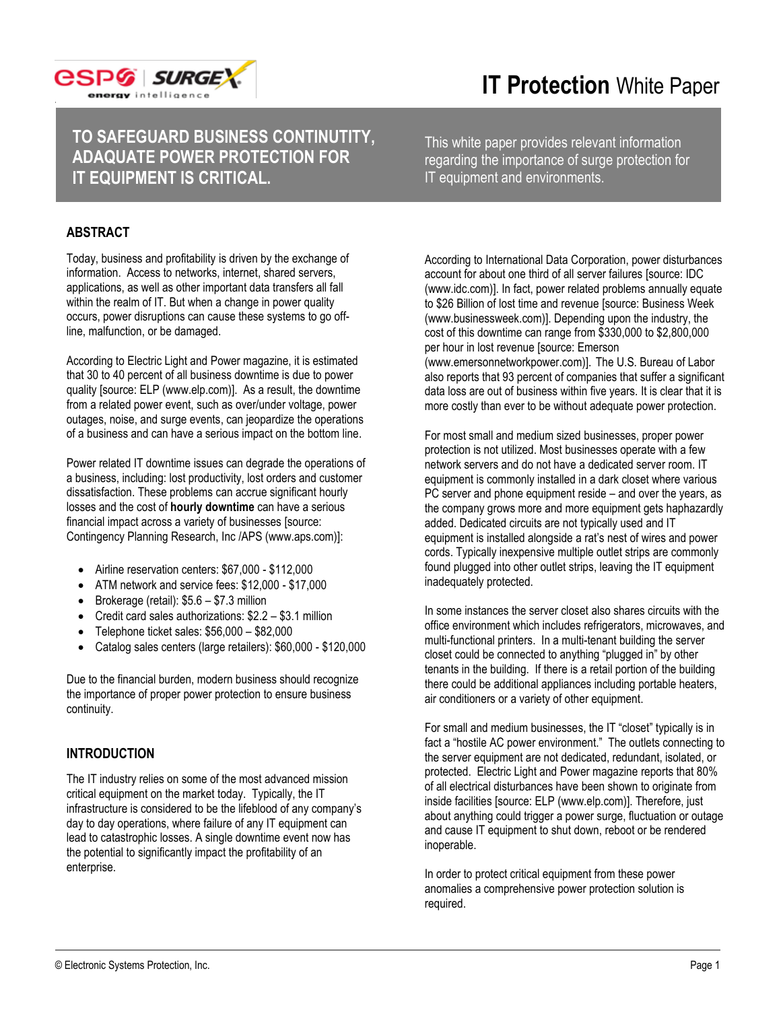

**TO SAFEGUARD BUSINESS CONTINUTITY, ADAQUATE POWER PROTECTION FOR IT EQUIPMENT IS CRITICAL.**

This white paper provides relevant information regarding the importance of surge protection for IT equipment and environments.

# **ABSTRACT**

Today, business and profitability is driven by the exchange of information. Access to networks, internet, shared servers, applications, as well as other important data transfers all fall within the realm of IT. But when a change in power quality occurs, power disruptions can cause these systems to go offline, malfunction, or be damaged.

According to Electric Light and Power magazine, it is estimated that 30 to 40 percent of all business downtime is due to power quality [source: ELP (www.elp.com)]. As a result, the downtime from a related power event, such as over/under voltage, power outages, noise, and surge events, can jeopardize the operations of a business and can have a serious impact on the bottom line.

Power related IT downtime issues can degrade the operations of a business, including: lost productivity, lost orders and customer dissatisfaction. These problems can accrue significant hourly losses and the cost of **hourly downtime** can have a serious financial impact across a variety of businesses [source: Contingency Planning Research, Inc /APS (www.aps.com)]:

- Airline reservation centers: \$67,000 \$112,000
- ATM network and service fees: \$12,000 \$17,000
- $\bullet$  Brokerage (retail):  $$5.6 $7.3$  million
- Credit card sales authorizations: \$2.2 \$3.1 million
- Telephone ticket sales: \$56,000 \$82,000
- Catalog sales centers (large retailers): \$60,000 \$120,000

Due to the financial burden, modern business should recognize the importance of proper power protection to ensure business continuity.

## **INTRODUCTION**

The IT industry relies on some of the most advanced mission critical equipment on the market today. Typically, the IT infrastructure is considered to be the lifeblood of any company's day to day operations, where failure of any IT equipment can lead to catastrophic losses. A single downtime event now has the potential to significantly impact the profitability of an enterprise.

According to International Data Corporation, power disturbances account for about one third of all server failures [source: IDC (www.idc.com)]. In fact, power related problems annually equate to \$26 Billion of lost time and revenue [source: Business Week (www.businessweek.com)]. Depending upon the industry, the cost of this downtime can range from \$330,000 to \$2,800,000 per hour in lost revenue [source: Emerson (www.emersonnetworkpower.com)]. The U.S. Bureau of Labor also reports that 93 percent of companies that suffer a significant data loss are out of business within five years. It is clear that it is more costly than ever to be without adequate power protection.

For most small and medium sized businesses, proper power protection is not utilized. Most businesses operate with a few network servers and do not have a dedicated server room. IT equipment is commonly installed in a dark closet where various PC server and phone equipment reside – and over the years, as the company grows more and more equipment gets haphazardly added. Dedicated circuits are not typically used and IT equipment is installed alongside a rat's nest of wires and power cords. Typically inexpensive multiple outlet strips are commonly found plugged into other outlet strips, leaving the IT equipment inadequately protected.

In some instances the server closet also shares circuits with the office environment which includes refrigerators, microwaves, and multi-functional printers. In a multi-tenant building the server closet could be connected to anything "plugged in" by other tenants in the building. If there is a retail portion of the building there could be additional appliances including portable heaters, air conditioners or a variety of other equipment.

For small and medium businesses, the IT "closet" typically is in fact a "hostile AC power environment." The outlets connecting to the server equipment are not dedicated, redundant, isolated, or protected. Electric Light and Power magazine reports that 80% of all electrical disturbances have been shown to originate from inside facilities [source: ELP (www.elp.com)]. Therefore, just about anything could trigger a power surge, fluctuation or outage and cause IT equipment to shut down, reboot or be rendered inoperable.

In order to protect critical equipment from these power anomalies a comprehensive power protection solution is required.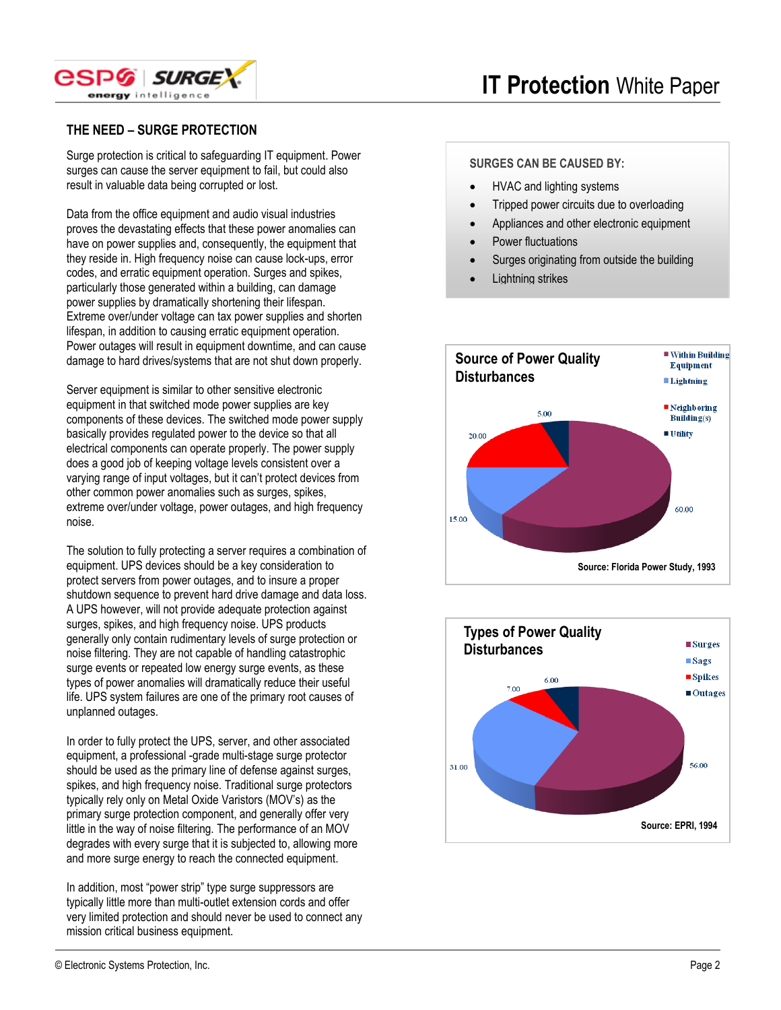

# **THE NEED – SURGE PROTECTION**

Surge protection is critical to safeguarding IT equipment. Power surges can cause the server equipment to fail, but could also result in valuable data being corrupted or lost.

Data from the office equipment and audio visual industries proves the devastating effects that these power anomalies can have on power supplies and, consequently, the equipment that they reside in. High frequency noise can cause lock-ups, error codes, and erratic equipment operation. Surges and spikes, particularly those generated within a building, can damage power supplies by dramatically shortening their lifespan. Extreme over/under voltage can tax power supplies and shorten lifespan, in addition to causing erratic equipment operation. Power outages will result in equipment downtime, and can cause damage to hard drives/systems that are not shut down properly.

Server equipment is similar to other sensitive electronic equipment in that switched mode power supplies are key components of these devices. The switched mode power supply basically provides regulated power to the device so that all electrical components can operate properly. The power supply does a good job of keeping voltage levels consistent over a varying range of input voltages, but it can't protect devices from other common power anomalies such as surges, spikes, extreme over/under voltage, power outages, and high frequency noise.

The solution to fully protecting a server requires a combination of equipment. UPS devices should be a key consideration to protect servers from power outages, and to insure a proper shutdown sequence to prevent hard drive damage and data loss. A UPS however, will not provide adequate protection against surges, spikes, and high frequency noise. UPS products generally only contain rudimentary levels of surge protection or noise filtering. They are not capable of handling catastrophic surge events or repeated low energy surge events, as these types of power anomalies will dramatically reduce their useful life. UPS system failures are one of the primary root causes of unplanned outages.

In order to fully protect the UPS, server, and other associated equipment, a professional -grade multi-stage surge protector should be used as the primary line of defense against surges, spikes, and high frequency noise. Traditional surge protectors typically rely only on Metal Oxide Varistors (MOV's) as the primary surge protection component, and generally offer very little in the way of noise filtering. The performance of an MOV degrades with every surge that it is subjected to, allowing more and more surge energy to reach the connected equipment.

In addition, most "power strip" type surge suppressors are typically little more than multi-outlet extension cords and offer very limited protection and should never be used to connect any mission critical business equipment.

## **SURGES CAN BE CAUSED BY:**

- HVAC and lighting systems
- Tripped power circuits due to overloading
- Appliances and other electronic equipment
- Power fluctuations
- Surges originating from outside the building
- Lightning strikes